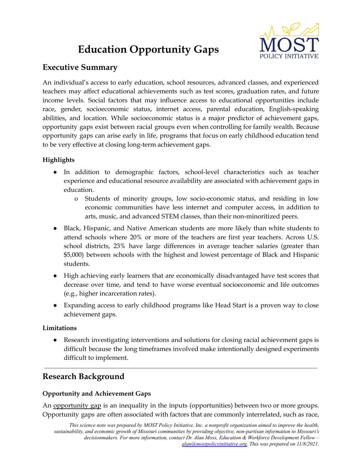# **Education Opportunity Gaps**



# **Executive Summary**

An individual's access to early education, school resources, advanced classes, and experienced teachers may affect educational achievements such as test scores, graduation rates, and future income levels. Social factors that may influence access to educational opportunities include race, gender, socioeconomic status, internet access, parental education, English-speaking abilities, and location. While socioeconomic status is a major predictor of achievement gaps, opportunity gaps exist between racial groups even when controlling for family wealth. Because opportunity gaps can arise early in life, programs that focus on early childhood education tend to be very effective at closing long-term achievement gaps.

## **Highlights**

- In addition to demographic factors, school-level characteristics such as teacher experience and educational resource availability are associated with achievement gaps in education.
	- o Students of minority groups, low socio-economic status, and residing in low economic communities have less internet and computer access, in addition to arts, music, and advanced STEM classes, than their non-minoritized peers.
- Black, Hispanic, and Native American students are more likely than white students to attend schools where 20% or more of the teachers are first year teachers. Across U.S. school districts, 23% have large differences in average teacher salaries (greater than \$5,000) between schools with the highest and lowest percentage of Black and Hispanic students.
- High achieving early learners that are economically disadvantaged have test scores that decrease over time, and tend to have worse eventual socioeconomic and life outcomes (e.g., higher incarceration rates).
- Expanding access to early childhood programs like Head Start is a proven way to close achievement gaps.

### **Limitations**

● Research investigating interventions and solutions for closing racial achievement gaps is difficult because the long timeframes involved make intentionally designed experiments difficult to implement.

# **Research Background**

## **Opportunity and Achievement Gaps**

An opportunity gap is an inequality in the inputs (opportunities) between two or more groups. Opportunity gaps are often associated with factors that are commonly interrelated, such as race,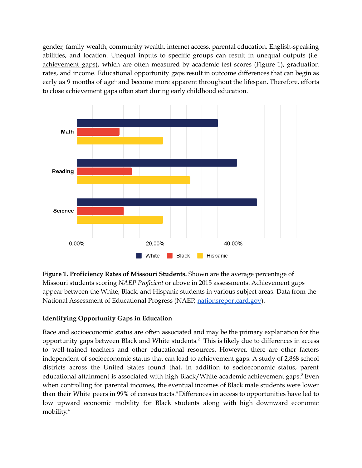gender, family wealth, community wealth, internet access, parental education, English-speaking abilities, and location. Unequal inputs to specific groups can result in unequal outputs (i.e. achievement gaps), which are often measured by academic test scores (Figure 1), graduation rates, and income. Educational opportunity gaps result in outcome differences that can begin as early as 9 months of age<sup>1,</sup> and become more apparent throughout the lifespan. Therefore, efforts to close achievement gaps often start during early childhood education.



**Figure 1. Proficiency Rates of Missouri Students.** Shown are the average percentage of Missouri students scoring *NAEP Proficient* or above in 2015 assessments. Achievement gaps appear between the White, Black, and Hispanic students in various subject areas. Data from the National Assessment of Educational Progress (NAEP, [nationsreportcard.gov](https://www.nationsreportcard.gov/)).

### **Identifying Opportunity Gaps in Education**

Race and socioeconomic status are often associated and may be the primary explanation for the opportunity gaps between Black and White students. <sup>2</sup> This is likely due to differences in access to well-trained teachers and other educational resources. However, there are other factors independent of socioeconomic status that can lead to achievement gaps. A study of 2,868 school districts across the United States found that, in addition to socioeconomic status, parent educational attainment is associated with high Black/White academic achievement gaps. <sup>3</sup> Even when controlling for parental incomes, the eventual incomes of Black male students were lower than their White peers in 99% of census tracts. <sup>4</sup>Differences in access to opportunities have led to low upward economic mobility for Black students along with high downward economic mobility. 4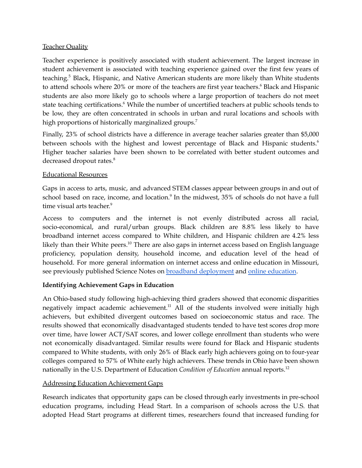#### Teacher Quality

Teacher experience is positively associated with student achievement. The largest increase in student achievement is associated with teaching experience gained over the first few years of teaching. <sup>5</sup> Black, Hispanic, and Native American students are more likely than White students to attend schools where 20% or more of the teachers are first year teachers. <sup>6</sup> Black and Hispanic students are also more likely go to schools where a large proportion of teachers do not meet state teaching certifications. <sup>6</sup> While the number of uncertified teachers at public schools tends to be low, they are often concentrated in schools in urban and rural locations and schools with high proportions of historically marginalized groups. 7

Finally, 23% of school districts have a difference in average teacher salaries greater than \$5,000 between schools with the highest and lowest percentage of Black and Hispanic students.<sup>6</sup> Higher teacher salaries have been shown to be correlated with better student outcomes and decreased dropout rates. 8

#### Educational Resources

Gaps in access to arts, music, and advanced STEM classes appear between groups in and out of school based on race, income, and location. 9 In the midwest, 35% of schools do not have a full time visual arts teacher. 9

Access to computers and the internet is not evenly distributed across all racial, socio-economical, and rural/urban groups. Black children are 8.8% less likely to have broadband internet access compared to White children, and Hispanic children are 4.2% less likely than their White peers.<sup>10</sup> There are also gaps in internet access based on English language proficiency, population density, household income, and education level of the head of household. For more general information on internet access and online education in Missouri, see previously published Science Notes on **broadband [deployment](https://mostpolicyinitiative.org/wp-content/uploads/2021/03/Broadband-Deployment-Science-Note.pdf)** and **online** [education](https://mostpolicyinitiative.org/wp-content/uploads/2021/03/Online-Education-Science-Note.pdf).

#### **Identifying Achievement Gaps in Education**

An Ohio-based study following high-achieving third graders showed that economic disparities negatively impact academic achievement.<sup>11</sup> All of the students involved were initially high achievers, but exhibited divergent outcomes based on socioeconomic status and race. The results showed that economically disadvantaged students tended to have test scores drop more over time, have lower ACT/SAT scores, and lower college enrollment than students who were not economically disadvantaged. Similar results were found for Black and Hispanic students compared to White students, with only 26% of Black early high achievers going on to four-year colleges compared to 57% of White early high achievers. These trends in Ohio have been shown nationally in the U.S. Department of Education *Condition of Education* annual reports. 12

### Addressing Education Achievement Gaps

Research indicates that opportunity gaps can be closed through early investments in pre-school education programs, including Head Start. In a comparison of schools across the U.S. that adopted Head Start programs at different times, researchers found that increased funding for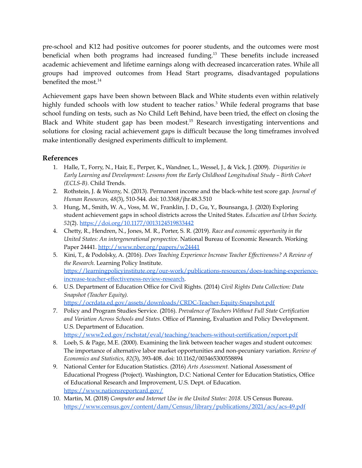pre-school and K12 had positive outcomes for poorer students, and the outcomes were most beneficial when both programs had increased funding.<sup>13</sup> These benefits include increased academic achievement and lifetime earnings along with decreased incarceration rates. While all groups had improved outcomes from Head Start programs, disadvantaged populations benefited the most. 14

Achievement gaps have been shown between Black and White students even within relatively highly funded schools with low student to teacher ratios.<sup>3</sup> While federal programs that base school funding on tests, such as No Child Left Behind, have been tried, the effect on closing the Black and White student gap has been modest.<sup>15</sup> Research investigating interventions and solutions for closing racial achievement gaps is difficult because the long timeframes involved make intentionally designed experiments difficult to implement.

### **References**

- 1. Halle, T., Forry, N., Hair, E., Perper, K., Wandner, L., Wessel, J., & Vick, J. (2009). *Disparities in Early Learning and Development: Lessons from the Early Childhood Longitudinal Study – Birth Cohort (ECLS-B).* Child Trends.
- 2. Rothstein, J. & Wozny, N. (2013). Permanent income and the black-white test score gap. *Journal of Human Resources, 48*(3), 510-544. doi: 10.3368/jhr.48.3.510
- 3. Hung, M., Smith, W. A., Voss, M. W., Franklin, J. D., Gu, Y., Bounsanga, J. (2020) Exploring student achievement gaps in school districts across the United States. *Education and Urban Society. 52*(2). <https://doi.org/10.1177/0013124519833442>
- 4. Chetty, R., Hendren, N., Jones, M. R., Porter, S. R. (2019). *Race and economic opportunity in the United States: An intergenerational perspective*. National Bureau of Economic Research. Working Paper 24441. <http://www.nber.org/papers/w24441>
- 5. Kini, T., & Podolsky, A. (2016). *Does Teaching Experience Increase Teacher Ef ectiveness? A Review of the Research.* Learning Policy Institute. [https://learningpolicyinstitute.org/our-work/publications-resources/does-teaching-experience](https://learningpolicyinstitute.org/our-work/publications-resources/does-teaching-experience-increase-teacher-effectiveness-review-research)[increase-teacher-effectiveness-review-research.](https://learningpolicyinstitute.org/our-work/publications-resources/does-teaching-experience-increase-teacher-effectiveness-review-research)
- 6. U.S. Department of Education Office for Civil Rights. (2014) *Civil Rights Data Collection: Data Snapshot (Teacher Equity).* <https://ocrdata.ed.gov/assets/downloads/CRDC-Teacher-Equity-Snapshot.pdf>
- 7. Policy and Program Studies Service. (2016). *Prevalence of Teachers Without Full State Certification and Variation Across Schools and States.* Office of Planning, Evaluation and Policy Development. U.S. Department of Education. <https://www2.ed.gov/rschstat/eval/teaching/teachers-without-certification/report.pdf>
- 8. Loeb, S. & Page, M.E. (2000). Examining the link between teacher wages and student outcomes: The importance of alternative labor market opportunities and non-pecuniary variation. *Review of Economics and Statistics, 82*(3), 393-408. doi: 10.1162/003465300558894
- 9. National Center for Education Statistics. (2016) *Arts Assessment.* National Assessment of Educational Progress (Project). Washington, D.C: National Center for Education Statistics, Office of Educational Research and Improvement, U.S. Dept. of Education. <https://www.nationsreportcard.gov/>
- 10. Martin, M. (2018) *Computer and Internet Use in the United States: 2018.* US Census Bureau. <https://www.census.gov/content/dam/Census/library/publications/2021/acs/acs-49.pdf>